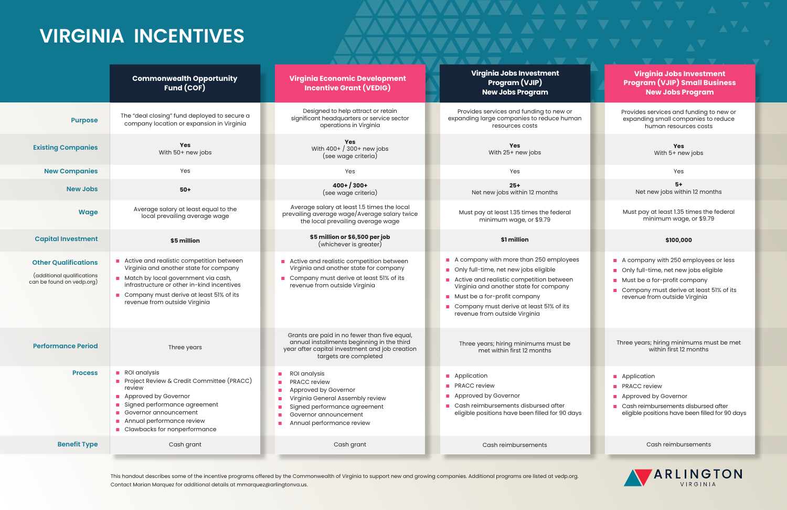## **VIRGINIA INCENTIVES**

This handout describes some of the incentive programs offered by the Commonwealth of Virginia to support new and growing companies. Additional programs are listed at vedp.org. Contact Marian Marquez for additional details at mmarquez@arlingtonva.us.

- A company with 250 employees or less
- n Only full-time, net new jobs eligible
- **n** Must be a for-profit company
- **n** Company must derive at least 51% of its revenue from outside Virginia

- **n** Application
- **n** PRACC review
- **n** Approved by Governor
- n Cash reimbursements disbursed after eligible positions have been filled for 90 days

Provides services and funding to new or expanding small companies to reduce human resources costs

> **Yes** With 5+ new jobs

> > Yes

**5+** Net new jobs within 12 months

Must pay at least 1.35 times the federal minimum wage, or \$9.79

## **\$100,000**

Three years; hiring minimums must be met within first 12 months

Cash reimbursements



**Virginia Jobs Investment Program (VJIP) Small Business New Jobs Program**

| Designed to help attract or retain<br>Provides services and funding to new or<br>The "deal closing" fund deployed to secure a<br>significant headquarters or service sector<br><b>Purpose</b><br>company location or expansion in Virginia<br>operations in Virginia<br>resources costs<br>Yes<br><b>Yes</b><br><b>Yes</b><br><b>Existing Companies</b><br>With 400+ / 300+ new jobs<br>With 50+ new jobs<br>With 25+ new jobs<br>(see wage criteria)<br><b>New Companies</b><br>Yes<br>Yes<br>Yes<br>$400+ / 300+$<br>$25+$<br><b>New Jobs</b><br>$50+$<br>Net new jobs within 12 months<br>(see wage criteria)<br>Average salary at least 1.5 times the local<br>Average salary at least equal to the<br><b>Wage</b><br>Must pay at least 1.35 times the federal<br>prevailing average wage/Average salary twice<br>local prevailing average wage<br>minimum wage, or \$9.79<br>the local prevailing average wage<br>\$5 million or \$6,500 per job<br><b>Capital Investment</b><br>\$1 million<br>\$5 million<br>(whichever is greater)<br>Active and realistic competition between<br>Active and realistic competition between<br>$\blacksquare$<br><b>Other Qualifications</b><br>Virginia and another state for company<br>Virginia and another state for company<br>Only full-time, net new jobs eligible<br>(additional qualifications<br>Match by local government via cash,<br>Company must derive at least 51% of its<br>Active and realistic competition between<br>can be found on vedp.org)<br>infrastructure or other in-kind incentives<br>revenue from outside Virginia<br>Virginia and another state for company<br>Company must derive at least 51% of its<br>$\mathcal{L}_{\mathcal{A}}$<br>Must be a for-profit company<br>revenue from outside Virginia<br>Company must derive at least 51% of its<br>revenue from outside Virginia<br>Grants are paid in no fewer than five equal,<br>annual installments beginning in the third<br>Three years; hiring minimums must be<br><b>Performance Period</b><br>Three years<br>year after capital investment and job creation<br>met within first 12 months<br>targets are completed<br>ROI analysis<br><b>Process</b><br>ROI analysis<br><b>Application</b><br>Project Review & Credit Committee (PRACC)<br>PRACC review<br><b>PRACC</b> review<br>review<br>Approved by Governor<br><b>Approved by Governor</b><br>Approved by Governor<br>Virginia General Assembly review<br>Signed performance agreement<br>Cash reimbursements disbursed after<br>Signed performance agreement<br>Governor announcement<br>Governor announcement<br>Annual performance review<br>Annual performance review<br>Clawbacks for nonperformance<br><b>Benefit Type</b><br>Cash grant<br>Cash grant<br>Cash reimbursements | <b>Commonwealth Opportunity</b><br><b>Fund (COF)</b> | <b>Virginia Economic Development</b><br><b>Incentive Grant (VEDIG)</b> | Virginia Jobs Investment<br><b>Program (VJIP)</b><br><b>New Jobs Program</b> |
|----------------------------------------------------------------------------------------------------------------------------------------------------------------------------------------------------------------------------------------------------------------------------------------------------------------------------------------------------------------------------------------------------------------------------------------------------------------------------------------------------------------------------------------------------------------------------------------------------------------------------------------------------------------------------------------------------------------------------------------------------------------------------------------------------------------------------------------------------------------------------------------------------------------------------------------------------------------------------------------------------------------------------------------------------------------------------------------------------------------------------------------------------------------------------------------------------------------------------------------------------------------------------------------------------------------------------------------------------------------------------------------------------------------------------------------------------------------------------------------------------------------------------------------------------------------------------------------------------------------------------------------------------------------------------------------------------------------------------------------------------------------------------------------------------------------------------------------------------------------------------------------------------------------------------------------------------------------------------------------------------------------------------------------------------------------------------------------------------------------------------------------------------------------------------------------------------------------------------------------------------------------------------------------------------------------------------------------------------------------------------------------------------------------------------------------------------------------------------------------------------------------------------------------------------------------------------------------------------------------------------------------------------------------------------------------------------------------------------------------------------------------------------|------------------------------------------------------|------------------------------------------------------------------------|------------------------------------------------------------------------------|
|                                                                                                                                                                                                                                                                                                                                                                                                                                                                                                                                                                                                                                                                                                                                                                                                                                                                                                                                                                                                                                                                                                                                                                                                                                                                                                                                                                                                                                                                                                                                                                                                                                                                                                                                                                                                                                                                                                                                                                                                                                                                                                                                                                                                                                                                                                                                                                                                                                                                                                                                                                                                                                                                                                                                                                            |                                                      |                                                                        | expanding large companies to reduce human                                    |
|                                                                                                                                                                                                                                                                                                                                                                                                                                                                                                                                                                                                                                                                                                                                                                                                                                                                                                                                                                                                                                                                                                                                                                                                                                                                                                                                                                                                                                                                                                                                                                                                                                                                                                                                                                                                                                                                                                                                                                                                                                                                                                                                                                                                                                                                                                                                                                                                                                                                                                                                                                                                                                                                                                                                                                            |                                                      |                                                                        |                                                                              |
|                                                                                                                                                                                                                                                                                                                                                                                                                                                                                                                                                                                                                                                                                                                                                                                                                                                                                                                                                                                                                                                                                                                                                                                                                                                                                                                                                                                                                                                                                                                                                                                                                                                                                                                                                                                                                                                                                                                                                                                                                                                                                                                                                                                                                                                                                                                                                                                                                                                                                                                                                                                                                                                                                                                                                                            |                                                      |                                                                        |                                                                              |
|                                                                                                                                                                                                                                                                                                                                                                                                                                                                                                                                                                                                                                                                                                                                                                                                                                                                                                                                                                                                                                                                                                                                                                                                                                                                                                                                                                                                                                                                                                                                                                                                                                                                                                                                                                                                                                                                                                                                                                                                                                                                                                                                                                                                                                                                                                                                                                                                                                                                                                                                                                                                                                                                                                                                                                            |                                                      |                                                                        |                                                                              |
|                                                                                                                                                                                                                                                                                                                                                                                                                                                                                                                                                                                                                                                                                                                                                                                                                                                                                                                                                                                                                                                                                                                                                                                                                                                                                                                                                                                                                                                                                                                                                                                                                                                                                                                                                                                                                                                                                                                                                                                                                                                                                                                                                                                                                                                                                                                                                                                                                                                                                                                                                                                                                                                                                                                                                                            |                                                      |                                                                        |                                                                              |
|                                                                                                                                                                                                                                                                                                                                                                                                                                                                                                                                                                                                                                                                                                                                                                                                                                                                                                                                                                                                                                                                                                                                                                                                                                                                                                                                                                                                                                                                                                                                                                                                                                                                                                                                                                                                                                                                                                                                                                                                                                                                                                                                                                                                                                                                                                                                                                                                                                                                                                                                                                                                                                                                                                                                                                            |                                                      |                                                                        |                                                                              |
|                                                                                                                                                                                                                                                                                                                                                                                                                                                                                                                                                                                                                                                                                                                                                                                                                                                                                                                                                                                                                                                                                                                                                                                                                                                                                                                                                                                                                                                                                                                                                                                                                                                                                                                                                                                                                                                                                                                                                                                                                                                                                                                                                                                                                                                                                                                                                                                                                                                                                                                                                                                                                                                                                                                                                                            |                                                      |                                                                        | A company with more than 250 employees                                       |
|                                                                                                                                                                                                                                                                                                                                                                                                                                                                                                                                                                                                                                                                                                                                                                                                                                                                                                                                                                                                                                                                                                                                                                                                                                                                                                                                                                                                                                                                                                                                                                                                                                                                                                                                                                                                                                                                                                                                                                                                                                                                                                                                                                                                                                                                                                                                                                                                                                                                                                                                                                                                                                                                                                                                                                            |                                                      |                                                                        |                                                                              |
|                                                                                                                                                                                                                                                                                                                                                                                                                                                                                                                                                                                                                                                                                                                                                                                                                                                                                                                                                                                                                                                                                                                                                                                                                                                                                                                                                                                                                                                                                                                                                                                                                                                                                                                                                                                                                                                                                                                                                                                                                                                                                                                                                                                                                                                                                                                                                                                                                                                                                                                                                                                                                                                                                                                                                                            |                                                      |                                                                        | eligible positions have been filled for 90 days                              |
|                                                                                                                                                                                                                                                                                                                                                                                                                                                                                                                                                                                                                                                                                                                                                                                                                                                                                                                                                                                                                                                                                                                                                                                                                                                                                                                                                                                                                                                                                                                                                                                                                                                                                                                                                                                                                                                                                                                                                                                                                                                                                                                                                                                                                                                                                                                                                                                                                                                                                                                                                                                                                                                                                                                                                                            |                                                      |                                                                        |                                                                              |